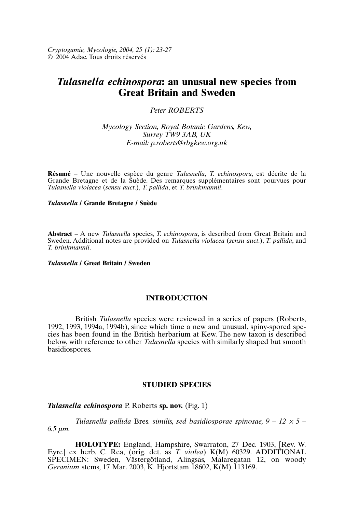*Cryptogamie, Mycologie, 2004, 25 (1): 23-27* © 2004 Adac. Tous droits réservés

# *Tulasnella echinospora***: an unusual new species from Great Britain and Sweden**

# *Peter ROBERTS*

*Mycology Section, Royal Botanic Gardens, Kew, Surrey TW9 3AB, UK E-mail: p.roberts@rbgkew.org.uk*

**Résumé** – Une nouvelle espèce du genre *Tulasnella*, *T. echinospora*, est décrite de la Grande Bretagne et de la Suède. Des remarques supplémentaires sont pourvues pour *Tulasnella violacea* (*sensu auct*.), *T. pallida*, et *T. brinkmannii*.

## *Tulasnella* **/ Grande Bretagne / Suède**

**Abstract** – A new *Tulasnella* species, *T. echinospora*, is described from Great Britain and Sweden. Additional notes are provided on *Tulasnella violacea* (*sensu auct*.), *T. pallida*, and *T. brinkmannii*.

### *Tulasnella* **/ Great Britain / Sweden**

# **INTRODUCTION**

British *Tulasnella* species were reviewed in a series of papers (Roberts, 1992, 1993, 1994a, 1994b), since which time a new and unusual, spiny-spored species has been found in the British herbarium at Kew. The new taxon is described below, with reference to other *Tulasnella* species with similarly shaped but smooth basidiospores.

# **STUDIED SPECIES**

#### *Tulasnella echinospora* P. Roberts **sp. nov.** (Fig. 1)

*Tulasnella pallida* Bres. *similis, sed basidiosporae spinosae, 9 – 12* <sup>×</sup> *5 – 6.5 µm.*

**HOLOTYPE:** England, Hampshire, Swarraton, 27 Dec. 1903, [Rev. W. Eyre] ex herb. C. Rea, (orig. det. as *T. violea*) K(M) 60329. ADDITIONAL SPECIMEN: Sweden, Västergötland, Alingsås, Målaregatan 12, on woody *Geranium* stems, 17 Mar. 2003, K. Hjortstam 18602, K(M) 113169.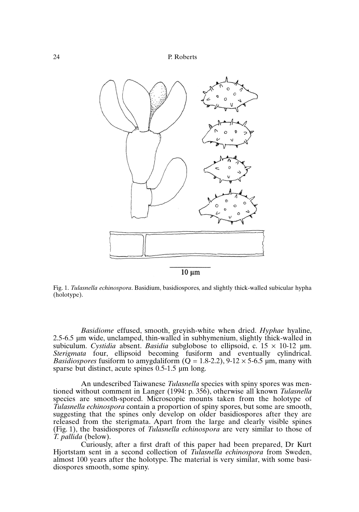

 $10 \mu m$ 

Fig. 1. *Tulasnella echinospora*. Basidium, basidiospores, and slightly thick-walled subicular hypha (holotype).

*Basidiome* effused, smooth, greyish-white when dried. *Hyphae* hyaline, 2.5-6.5 µm wide, unclamped, thin-walled in subhymenium, slightly thick-walled in subiculum. *Cystidia* absent. *Basidia* subglobose to ellipsoid, c.  $15 \times 10^{-12}$  µm. *Sterigmata* four, ellipsoid becoming fusiform and eventually cylindrical. *Basidiospores* fusiform to amygdaliform  $(Q = 1.8-2.2)$ , 9-12  $\times$  5-6.5 µm, many with sparse but distinct, acute spines 0.5-1.5 µm long.

An undescribed Taiwanese *Tulasnella* species with spiny spores was mentioned without comment in Langer (1994: p. 356), otherwise all known *Tulasnella* species are smooth-spored. Microscopic mounts taken from the holotype of *Tulasnella echinospora* contain a proportion of spiny spores, but some are smooth, suggesting that the spines only develop on older basidiospores after they are released from the sterigmata. Apart from the large and clearly visible spines (Fig. 1), the basidiospores of *Tulasnella echinospora* are very similar to those of *T. pallida* (below).

Curiously, after a first draft of this paper had been prepared, Dr Kurt Hjortstam sent in a second collection of *Tulasnella echinospora* from Sweden, almost 100 years after the holotype. The material is very similar, with some basidiospores smooth, some spiny.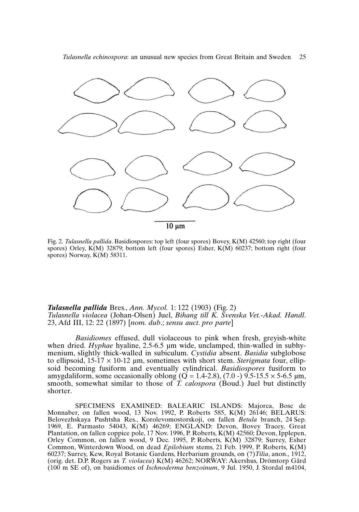*Tulasnella echinospora*: an unusual new species from Great Britain and Sweden 25



Fig. 2. *Tulasnella pallida*. Basidiospores: top left (four spores) Bovey, K(M) 42560; top right (four spores) Orley, K(M) 32879; bottom left (four spores) Esher, K(M) 60237; bottom right (four spores) Norway,  $K(M)$  58311.

## *Tulasnella pallida* Bres., *Ann. Mycol.* 1: 122 (1903) (Fig. 2) *Tulasnella violacea* (Johan-Olsen) Juel, *Bihang till K. Svenska Vet.-Akad. Handl*. 23, Afd III, 12: 22 (1897) [*nom. dub*.; *sensu auct*. *pro parte*]

*Basidiomes* effused, dull violaceous to pink when fresh, greyish-white when dried. *Hyphae* hyaline, 2.5-6.5 µm wide, unclamped, thin-walled in subhymenium, slightly thick-walled in subiculum. *Cystidia* absent. *Basidia* subglobose to ellipsoid, 15-17 × 10-12 µm, sometimes with short stem. *Sterigmata* four, ellipsoid becoming fusiform and eventually cylindrical. *Basidiospores* fusiform to amygdaliform, some occasionally oblong  $(Q = 1.4-2.8)$ ,  $(7.0 - 9.5-15.5 \times 5-6.5 \mu m$ , smooth, somewhat similar to those of *T. calospora* (Boud.) Juel but distinctly shorter.

SPECIMENS EXAMINED: BALEARIC ISLANDS: Majorca, Bosc de Monnaber, on fallen wood, 13 Nov. 1992, P. Roberts 585, K(M) 26146; BELARUS: Belovezhskaya Pushtsha Res., Korolevomostorskoji, on fallen *Betula* branch, 24 Sep. 1969, E. Parmasto 54043, K(M) 46269; ENGLAND: Devon, Bovey Tracey, Great Plantation, on fallen coppice pole, 17 Nov. 1996, P. Roberts, K(M) 42560; Devon, Ipplepen, Orley Common, on fallen wood, 9 Dec. 1995, P. Roberts, K(M) 32879; Surrey, Esher Common, Winterdown Wood, on dead *Epilobium* stems, 21 Feb. 1999, P. Roberts, K(M) 60237; Surrey, Kew, Royal Botanic Gardens, Herbarium grounds, on (?)*Tilia*, anon., 1912, (orig. det. D.P. Rogers as *T. violacea*) K(M) 46262; NORWAY: Akershus, Drömtorp Gård (100 m SE of), on basidiomes of *Ischnoderma benzoinum*, 9 Jul. 1950, J. Stordal m4104,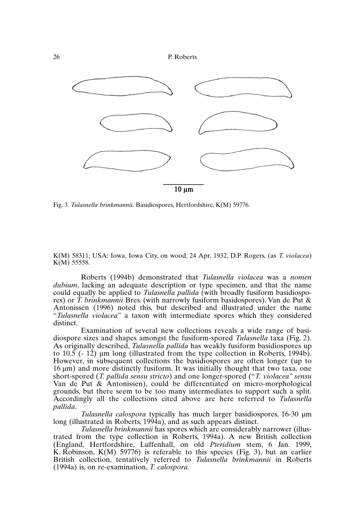



Fig. 3. *Tulasnella brinkmannii.* Basidiospores, Hertfordshire, K(M) 59776.

K(M) 58311; USA: Iowa, Iowa City, on wood, 24 Apr. 1932, D.P. Rogers, (as *T. violacea*) K(M) 55558.

Roberts (1994b) demonstrated that *Tulasnella violacea* was a *nomen dubium*, lacking an adequate description or type specimen, and that the name could equally be applied to *Tulasnella pallida* (with broadly fusiform basidiospores) or *T. brinkmannii* Bres. (with narrowly fusiform basidospores). Van de Put & Antonissen (1996) noted this, but described and illustrated under the name "*Tulasnella violacea*" a taxon with intermediate spores which they considered distinct.

Examination of several new collections reveals a wide range of basidiospore sizes and shapes amongst the fusiform-spored *Tulasnella* taxa (Fig. 2). As originally described, *Tulasnella pallida* has weakly fusiform basidiospores up to 10.5 (- 12) µm long (illustrated from the type collection in Roberts, 1994b). However, in subsequent collections the basidiospores are often longer (up to 16 µm) and more distinctly fusiform. It was initially thought that two taxa, one short-spored (*T. pallida sensu stricto*) and one longer-spored ("*T. violacea*" *sensu* Van de Put & Antonissen), could be differentiated on micro-morphological grounds, but there seem to be too many intermediates to support such a split. Accordingly all the collections cited above are here referred to *Tulasnella pallida*.

*Tulasnella calospora* typically has much larger basidiospores, 16-30 µm long (illustrated in Roberts, 1994a), and as such appears distinct.

*Tulasnella brinkmannii* has spores which are considerably narrower (illustrated from the type collection in Roberts, 1994a). A new British collection (England, Hertfordshire, Luffenhall, on old *Pteridium* stem, 6 Jan. 1999, K. Robinson, K(M) 59776) is referable to this species (Fig. 3), but an earlier British collection, tentatively referred to *Tulasnella brinkmannii* in Roberts (1994a) is, on re-examination, *T. calospora*.